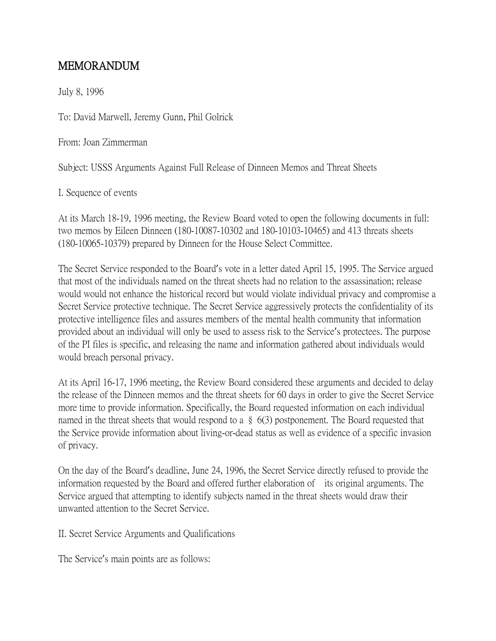## MEMORANDUM

July 8, 1996

To: David Marwell, Jeremy Gunn, Phil Golrick

From: Joan Zimmerman

Subject: USSS Arguments Against Full Release of Dinneen Memos and Threat Sheets

I. Sequence of events

At its March 18-19, 1996 meeting, the Review Board voted to open the following documents in full: two memos by Eileen Dinneen (180-10087-10302 and 180-10103-10465) and 413 threats sheets (180-10065-10379) prepared by Dinneen for the House Select Committee.

The Secret Service responded to the Board's vote in a letter dated April 15, 1995. The Service argued that most of the individuals named on the threat sheets had no relation to the assassination; release would would not enhance the historical record but would violate individual privacy and compromise a Secret Service protective technique. The Secret Service aggressively protects the confidentiality of its protective intelligence files and assures members of the mental health community that information provided about an individual will only be used to assess risk to the Service's protectees. The purpose of the PI files is specific, and releasing the name and information gathered about individuals would would breach personal privacy.

At its April 16-17, 1996 meeting, the Review Board considered these arguments and decided to delay the release of the Dinneen memos and the threat sheets for 60 days in order to give the Secret Service more time to provide information. Specifically, the Board requested information on each individual named in the threat sheets that would respond to a § 6(3) postponement. The Board requested that the Service provide information about living-or-dead status as well as evidence of a specific invasion of privacy.

On the day of the Board's deadline, June 24, 1996, the Secret Service directly refused to provide the information requested by the Board and offered further elaboration of its original arguments. The Service argued that attempting to identify subjects named in the threat sheets would draw their unwanted attention to the Secret Service.

II. Secret Service Arguments and Qualifications

The Service's main points are as follows: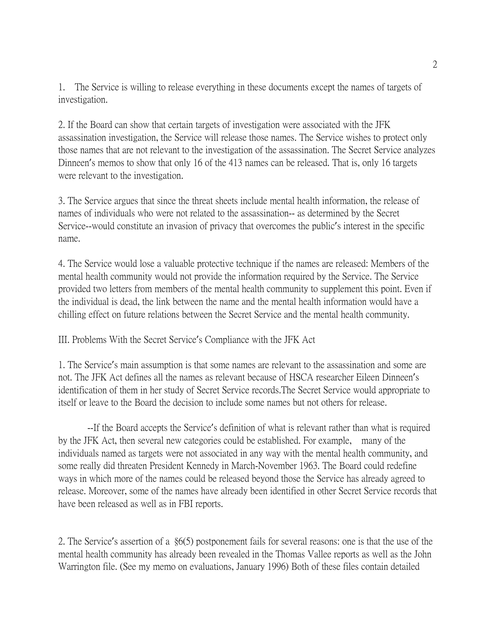1. The Service is willing to release everything in these documents except the names of targets of investigation.

2. If the Board can show that certain targets of investigation were associated with the JFK assassination investigation, the Service will release those names. The Service wishes to protect only those names that are not relevant to the investigation of the assassination. The Secret Service analyzes Dinneen's memos to show that only 16 of the 413 names can be released. That is, only 16 targets were relevant to the investigation.

3. The Service argues that since the threat sheets include mental health information, the release of names of individuals who were not related to the assassination-- as determined by the Secret Service--would constitute an invasion of privacy that overcomes the public's interest in the specific name.

4. The Service would lose a valuable protective technique if the names are released: Members of the mental health community would not provide the information required by the Service. The Service provided two letters from members of the mental health community to supplement this point. Even if the individual is dead, the link between the name and the mental health information would have a chilling effect on future relations between the Secret Service and the mental health community.

## III. Problems With the Secret Service's Compliance with the JFK Act

1. The Service's main assumption is that some names are relevant to the assassination and some are not. The JFK Act defines all the names as relevant because of HSCA researcher Eileen Dinneen's identification of them in her study of Secret Service records.The Secret Service would appropriate to itself or leave to the Board the decision to include some names but not others for release.

--If the Board accepts the Service's definition of what is relevant rather than what is required by the JFK Act, then several new categories could be established. For example, many of the individuals named as targets were not associated in any way with the mental health community, and some really did threaten President Kennedy in March-November 1963. The Board could redefine ways in which more of the names could be released beyond those the Service has already agreed to release. Moreover, some of the names have already been identified in other Secret Service records that have been released as well as in FBI reports.

2. The Service's assertion of a §6(5) postponement fails for several reasons: one is that the use of the mental health community has already been revealed in the Thomas Vallee reports as well as the John Warrington file. (See my memo on evaluations, January 1996) Both of these files contain detailed